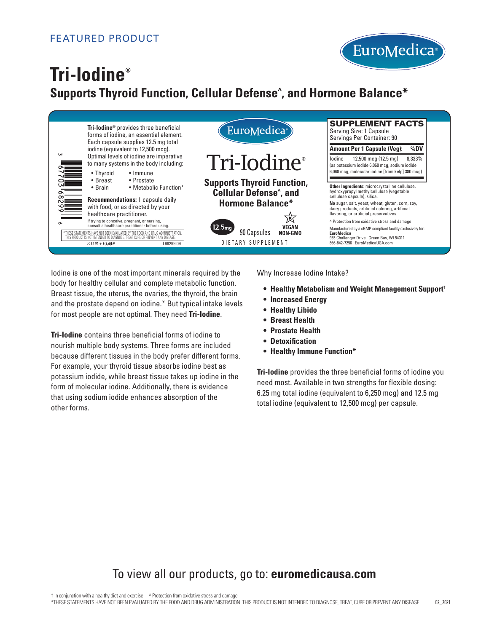

# **Tri-Iodine® Supports Thyroid Function, Cellular Defense^ , and Hormone Balance\***



Iodine is one of the most important minerals required by the body for healthy cellular and complete metabolic function. Breast tissue, the uterus, the ovaries, the thyroid, the brain and the prostate depend on iodine.\* But typical intake levels for most people are not optimal. They need **Tri-Iodine**.

**Tri-Iodine** contains three beneficial forms of iodine to nourish multiple body systems. Three forms are included because different tissues in the body prefer different forms. For example, your thyroid tissue absorbs iodine best as potassium iodide, while breast tissue takes up iodine in the form of molecular iodine. Additionally, there is evidence that using sodium iodide enhances absorption of the other forms.

Why Increase Iodine Intake? Label Size 2.5"x 7" Bar Code Number: 3 67703 68299 6

- **• Healthy Metabolism and Weight Management Support**†
- **• Increased Energy**
- **• Healthy Libido**
- **• Breast Health**
- **• Prostate Health**
- **• Detoxification**
- **• Healthy Immune Function\***

**Tri-Iodine** provides the three beneficial forms of iodine you need most. Available in two strengths for flexible dosing: 6.25 mg total iodine (equivalent to 6,250 mcg) and 12.5 mg total iodine (equivalent to 12,500 mcg) per capsule.

## To view all our products, go to: **euromedicausa.com**

† In conjunction with a healthy diet and exercise ^ Protection from oxidative stress and damage